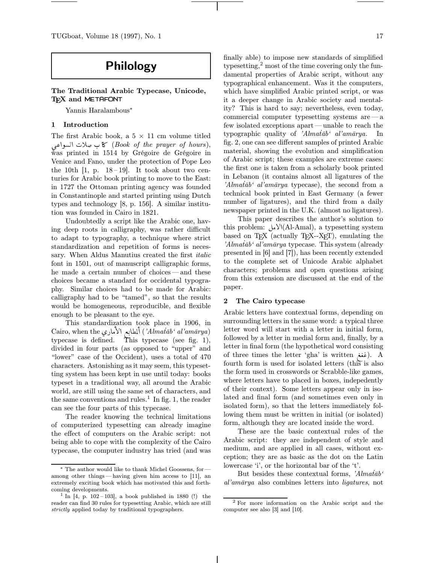# Philology

The Traditional Arabic Typecase, Unicode, T<sub>EX</sub> and METAFONT

Yannis Haralambous<sup>∗</sup>

# 1 Introduction

The first Arabic book, a  $5 \times 11$  cm volume titled ڪ سلات السواعي (Book of the prayer of hours), was printed in 1514 by Grégoire de Grégoire in Venice and Fano, under the protection of Pope Leo the 10th  $[1, p. 18-19]$ . It took about two centuries for Arabic book printing to move to the East: in 1727 the Ottoman printing agency was founded in Constantinople and started printing using Dutch types and technology [8, p. 156]. A similar institution was founded in Cairo in 1821.

Undoubtedly a script like the Arabic one, having deep roots in calligraphy, was rather difficult to adapt to typography, a technique where strict standardization and repetition of forms is necessary. When Aldus Manutius created the first *italic* font in 1501, out of manuscript calligraphic forms, he made a certain number of choices — and these choices became a standard for occidental typography. Similar choices had to be made for Arabic: calligraphy had to be "tamed", so that the results would be homogeneous, reproducible, and flexible enough to be pleasant to the eye.

This standardization took place in 1906, in Cairo, when the <sup>8</sup> TA**â**i ô L ألمطابع الأماري ('Almat̄āb' al'amārya) typecase is defined. This typecase (see fig. 1), divided in four parts (as opposed to "upper" and "lower" case of the Occident), uses a total of 470 characters. Astonishing as it may seem, this typesetting system has been kept in use until today: books typeset in a traditional way, all around the Arabic world, are still using the same set of characters, and the same conventions and rules.<sup>1</sup> In fig. 1, the reader can see the four parts of this typecase.

The reader knowing the technical limitations of computerized typesetting can already imagine the effect of computers on the Arabic script: not being able to cope with the complexity of the Cairo typecase, the computer industry has tried (and was finally able) to impose new standards of simplified typesetting, $^2$  most of the time covering only the fundamental properties of Arabic script, without any typographical enhancement. Was it the computers, which have simplified Arabic printed script, or was it a deeper change in Arabic society and mentality? This is hard to say; nevertheless, even today, commercial computer typesetting systems are — a few isolated exceptions apart— unable to reach the typographic quality of 'Alma $\bar{t}$ ab' al'am $\bar{a}$ rya. In fig. 2, one can see different samples of printed Arabic material, showing the evolution and simplification of Arabic script; these examples are extreme cases: the first one is taken from a scholarly book printed in Lebanon (it contains almost all ligatures of the 'Almat $\bar{a}b$ ' al'am $\bar{a}rya$  typecase), the second from a technical book printed in East Germany (a fewer number of ligatures), and the third from a daily newspaper printed in the U.K. (almost no ligatures).

This paper describes the author's solution to this problem: أ $\mathcal{Y}(\text{Al-Amal})$ , a typesetting system based on TEX (actually TEX--XET), emulating the 'Almat $\bar{a}b$ ' al'am $\bar{a}rya$  typecase. This system (already presented in [6] and [7]), has been recently extended to the complete set of Unicode Arabic alphabet characters; problems and open questions arising from this extension are discussed at the end of the paper.

#### 2 The Cairo typecase

Arabic letters have contextual forms, depending on surrounding letters in the same word: a typical three letter word will start with a letter in initial form, followed by a letter in medial form and, finally, by a letter in final form (the hypothetical word consisting of three times the letter 'gha' is written (غغغ). A fourth form is used for isolated letters (this is also the form used in crosswords or Scrabble-like games, where letters have to placed in boxes, indepedently of their context). Some letters appear only in isolated and final form (and sometimes even only in isolated form), so that the letters immediately following them must be written in initial (or isolated) form, although they are located inside the word.

These are the basic contextual rules of the Arabic script: they are independent of style and medium, and are applied in all cases, without exception; they are as basic as the dot on the Latin lowercase 'i', or the horizontal bar of the 't'.

But besides these contextual forms,  $'Almat\bar{a}b'$ al'amārya also combines letters into ligatures, not

The author would like to thank Michel Goossens, for among other things — having given him access to [11], an extremely exciting book which has motivated this and forthcoming developments.

 $\frac{1}{\ln}$  [4, p. 102 – 103], a book published in 1880 (!) the reader can find 30 rules for typesetting Arabic, which are still strictly applied today by traditional typographers.

<sup>2</sup> For more information on the Arabic script and the computer see also [3] and [10].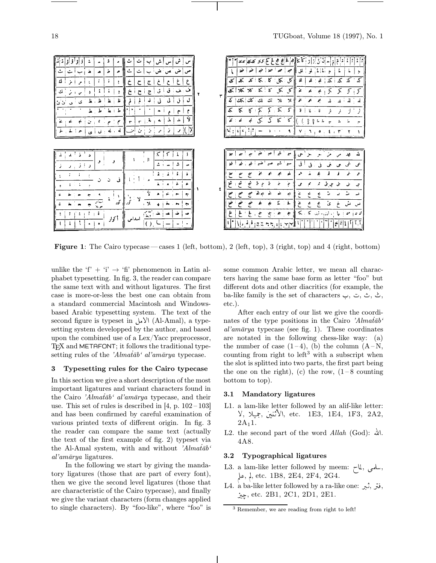| ٺ<br>ش<br>ت<br>ءُ<br>$\cdot$ $\sim$<br>ت<br>م<br>ٺ .<br>ä.<br>ص<br>$\bullet$<br>₽<br>₫<br>$\mathbf{r}$<br>$\cdot$<br>T<br>ف إيف إ<br>ق<br>ق<br>لمث<br>ċ.<br>$\overline{c}$<br>$\boldsymbol{\nu}$<br>Ŀ<br>直<br>ظ<br>غا.<br>ان ئ<br>ی<br>طا<br>Ŀ<br>۰<br>Ÿ<br>ىل<br>$\mathbf{z}$<br>عیات<br>$-6.6$<br>€<br>$\mathbf{r}$<br>$\mathbf{r}$<br>ż.<br>له بابه بدن<br>ىن<br>÷.<br>J.<br>ا ی | أن أرار كأكا إهراقي هج فح كح كابم كلمكلم تلكله<br>치친<br>i,<br>لمق<br>حو<br>$\lambda$<br>A,<br>کل کملی ا<br>궻<br>ĸ<br>ዾ<br>к<br>∡<br>72<br>ᅐ<br>$\kappa$<br>≫ে ≫ে<br>كل<br>ا که<br>K.<br>٣<br>ż<br>Ş<br>٣<br>5<br>الث<br>$\mathbf x$<br>ż<br>كك كك<br>Ж<br>5<br>S<br>Ä<br>к<br>⋋<br>k<br>4<br>K<br>۲<br>z<br>$\epsilon$<br>ડ<br>S.<br>الاولان عا<br>٩<br>۷<br>۰<br>$\mathbf{z}$ , $\mathbf{r}$ |
|-------------------------------------------------------------------------------------------------------------------------------------------------------------------------------------------------------------------------------------------------------------------------------------------------------------------------------------------------------------------------------------|-----------------------------------------------------------------------------------------------------------------------------------------------------------------------------------------------------------------------------------------------------------------------------------------------------------------------------------------------------------------------------------------------|
| X.<br>$_{\rm{H}}$ M $_{\rm{H}}$<br>و<br>و<br>÷.<br>ر از<br>$\mathbf{J}$ . The set<br>$\mathbf{z}$ :<br>j.<br>÷.<br>Ġ.<br>ΑÎ<br>ż<br>۰<br>$\tilde{\mathbf{r}}$<br>تود<br>÷<br>- 1<br>$\mathbf{r}$ $\mathbf{r}$<br>$\bullet$<br>۳, ما<br>أكوار<br>اسداس<br>$\left( \ \right)$ .<br>٠<br>$\bullet$                                                                                     | ش<br>سم<br>$\cdot$<br>أشمراشم<br>أخنى<br>شن<br>ق<br>صہ<br>سير<br>Ā<br>Ä.<br>≠<br>۶<br>شۇ<br>ېنې<br>ىتى<br>ى<br>خ<br>حى<br>حج<br>$\leq$<br>صح<br>ضخ<br>ى<br>∶ £.<br>۶<br>٤<br>ا ) ، أول) - أول:<br>غ<br>≤<br>≤<br>一条<br>ئے جی مو<br>حج<br>÷<br>÷<br>$\mathbf{r}$<br>إس باوجودي فإفرار<br>$\vert \epsilon \vert t \vert 1 \vert 1 \vert 1$ , $\vert 1 \vert 1$                                  |

Figure 1: The Cairo typecase — cases 1 (left, bottom), 2 (left, top), 3 (right, top) and 4 (right, bottom)

unlike the 'f' + 'i'  $\rightarrow$  'fi' phenomenon in Latin alphabet typesetting. In fig. 3, the reader can compare the same text with and without ligatures. The first case is more-or-less the best one can obtain from a standard commercial Macintosh and Windowsbased Arabic typesetting system. The text of the second figure is typeset in  $\downarrow \downarrow$  (Al-Amal), a typesetting system developped by the author, and based upon the combined use of a Lex/Yacc preprocessor, TEX and METAFONT; it follows the traditional typesetting rules of the 'Almat $\bar{a}b$ ' al'am $\bar{a}rya$  typecase.

#### 3 Typesetting rules for the Cairo typecase

In this section we give a short description of the most important ligatures and variant characters found in the Cairo 'Almat $\bar{a}b$ ' al'am $\bar{a}rya$  typecase, and their use. This set of rules is described in  $[4, p. 102 - 103]$ and has been confirmed by careful examination of various printed texts of different origin. In fig. 3 the reader can compare the same text (actually the text of the first example of fig. 2) typeset via the Al-Amal system, with and without 'Almat $\bar{a}b'$ '  $al'am\bar{a}rya$  ligatures.

In the following we start by giving the mandatory ligatures (those that are part of every font), then we give the second level ligatures (those that are characteristic of the Cairo typecase), and finally we give the variant characters (form changes applied to single characters). By "foo-like", where "foo" is some common Arabic letter, we mean all characters having the same base form as letter "foo" but different dots and other diacritics (for example, the ba-like family is the set of characters ب. ب., ث., ث., ث., ث., الله الله عن الله عن الله عن الله عن etc.).

After each entry of our list we give the coordinates of the type positions in the Cairo 'Almat $\bar{a}b'$ '  $al'am\bar{a}rya$  typecase (see fig. 1). These coordinates are notated in the following chess-like way: (a) the number of case  $(1-4)$ , (b) the column  $(A-N,$ counting from right to  $left<sup>3</sup>$  with a subscript when the slot is splitted into two parts, the first part being the one on the right), (c) the row,  $(1-8 \text{ counting})$ bottom to top).

## 3.1 Mandatory ligatures

- L1. a lam-like letter followed by an alif-like letter: لأثنين ,جميلا ,V, V, itc. 1E3, 1E4, 1F3, 2A2,  $2A_11$ .
- L2. the second part of the word Allah (God): ألله. 4A8.

## 3.2 Typographical ligatures

- L3. a lam-like letter followed by meem: سلمی , لماح, پلې,  $\downarrow$ , etc. 1B8, 2E4, 2F4, 2G4.
- L4. a ba-like letter followed by a ra-like one: فتر , ثبر, º, etc. 2B1, 2C1, 2D1, 2E1.

<sup>3</sup> Remember, we are reading from right to left!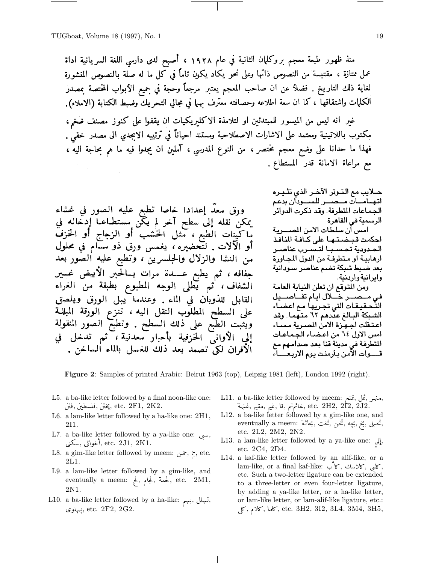منذ ظهور طبعة معجم بروكلمان الثانية في عام ١٩٢٨ ، أصبح لدى دارسي اللغة السريانية اداة عمل متازة ، مقتبسة من النصوص ذاتها وعلى نحو يكاد يكون تاماً في كل ما له صلَّة بالنصوص المنشورة لغاية ذلك التاريخ . فضلاً عن ان صاحب المعجم يعتبر مرجعاً وحجة في جميع الأبواب المختصة بمصدر الكلمات واشتقاقها ، كما ان سعة اطلاعه وحصافته معترف سها في مجالي التحريك وضبط الكتابة (الاملاء).

غير أنه ليس من الميسور للمبتدئين او لتلامذة الاكليريكيات أن يقفوا على كنوز مصنف ضخم، مكتوب باللاتينية ومعتمد على الاشارات الاصطلاحية ومستند احياناً في ترتيبه الابجدي الى مصدر خفي . فهذا ما حدانا على وضع معجم مختصر ، من النوع المدرسي ، آملين ان يجدوا فيه ما هم بحاجة اليه ، مع مراعاة الامانة قدر المستطاع.

ورق معدَّ إعدادًا خاصًا تطبع عليه الصور في غشاء يمكن نقله إلى سطح آخر لم يكّن مستطـاعـا إدخّاله في بِّاكِينِاتِ الْطَبِعِ ، مثل الْخُشْبِ أَوِ الزجاجِ أَوِ الخَزْفَ أو الآلات . لتحضيره ، يغمس ورق ذو سسام في محلول من النشا والزلال والجلسرين ، وتطبع عليه الصور بعد جفافه ، ثم يطبع عـــدة مرات بــالحبر الأبيض غــير الشفاف ، 'ثم يطلى الوجه المطبوع بطبقة من الغراء القابل للذوبان في الماء . وعندما يبل الورق ويلصق على السطح المطلوب النقل اليه ، تنزع الورقة المبللة ويُثبت الطبع على ذلك السّطحُ . وتطبّع الصّور المنقولة<br>إلى الأوان<sub>ى</sub> الحزفية بأحبار معدنية ، ثم تدخل في الْأَفْرَانْ لَكِي تصمدٌ بعد ذَلِكَ للغسل بالماء الساخنْ .

حــلايب مـع الـتــوتر الآخــر الذي تثــيــره اتهنامنات منصبير للسنبوبان بدعم الجماعات المتطرفة. وقد ذكرت الدوائر الرسمية في القاهرة امس أن سلطات الامن المصـــرية احكمت قبضتها على كافة النافذ الحدودية تحسبا لتسرب عناصر ارهابية او متطرفة من الدول المجاورة بعد ضبط شبكة تضم عناصر سودانية وايرانية واردنية. ومن المتوقع ان تعلن النيابة العامة في مــصـــر خــــلال ايـام تفـــاصـــيل التّحقيقات التي تجريها مع اعضـاء الشبكة البـالـغ عدَّدهم ٦٢ متـهمـا. وقد اعتقلت اجهزة الامن المسرية مسباء امس الاول ٦٤ من اعضاء الجماعات المتطرفة في مدينة قنا بعد صدامهم مع قسموات الأمن بأرمنت يوم الاريعساء

Figure 2: Samples of printed Arabic: Beirut 1963 (top), Leipzig 1981 (left), London 1992 (right).

- L5. a ba-like letter followed by a final noon-like one: فَتْنَ ,فَلْسَطِينَ ,فْنَنْ), etc. 2F1, 2K2.
- L6. a lam-like letter followed by a ha-like one: 2H1, 2I1.
- L7. a ba-like letter followed by a ya-like one: ,... فواتي ,سكنى, etc. 2J1, 2K1.
- L8. a gim-like letter followed by meem: ج $\tau$ , etc. 2L1.
- L9. a lam-like letter followed by a gim-like, and eventually a meem: لِحْمَة , $\downarrow$ ,  $\downarrow$ , etc. 2M1, 2N1.
- L10. a ba-like letter followed by a ha-like: تہلل ,بہی يىهلو ي $,$  etc.  $2F2, 2G2$ .
- L11. a ba-like letter followed by meem: منهر ,ڤمل , فائمتم ,قا , فيم , مقيم, مقيم, etc.  $2\text{H2},\ 2\text{I2},\ 2\text{J2}.$
- L12. a ba-like letter followed by a gim-like one, and eventually a meem: بحاثة, بحيه , ثخن, تخت, بحاثة, etc. 2L2, 2M2, 2N2.
- L13. a lam-like letter followed by a ya-like one:  $\downarrow$ , etc. 2C4, 2D4.
- L14. a kaf-like letter followed by an alif-like, or a lam-like, or a final kaf-like: كاي, ,كانب, ۰. etc. Such a two-letter ligature can be extended to a three-letter or even four-letter ligature, by adding a ya-like letter, or a ha-like letter, or lam-like letter, or lam-alif-like ligature, etc.: كاما , كالها , etc. 3H2, 3I2, 3L4, 3M4, 3H5,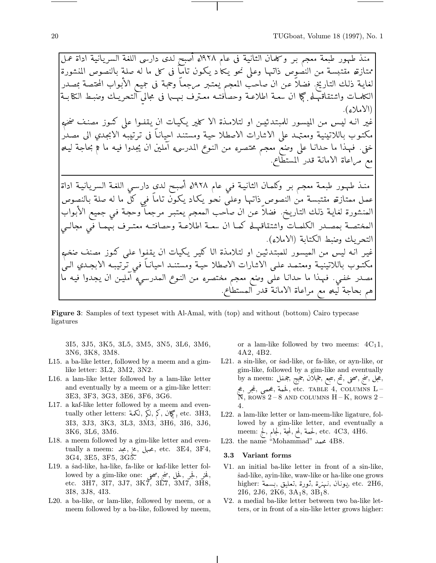منذ طمهور طبعة معجم بـر وكلمان الثانية في عام ١٩٢٨ء أصبح لدى دارسي اللغة السريانية اداة عمل ممتازته مقتبسة من النصوص ذاتـهـا وعـلى نحو يـكا د يـكـون تـامـاً فى كل ما له صلة بالنصوص المنشورة لغايـة ذلك التاريخ. فضلاً عن ان صاحبّ المعجم يعتـبر مرجعـاً وحجـة فى حجيع الأبواب المحتصـة بمصـدر الكلمـات واشتقاقمهـاء كبجا ان سعــة اطلاعــة وحصاٰفتــه معــترف بـمهــها فى مجالى التحريـك وضبـط الكتا بــة (الاملاء). غير انـه ليـس من الميسـور للمبتدئيـن او لتلامـذة الا كلير يكيـات انِ يـقفـوا على كنـوز مصنف ضخمء مكتـوب باللاتينيـة ومعـتمـد على الاشارات الاصطلا حيـة ومستنـد احيانـاً فى تـرتيبـهّ الابجدي الى مصـدْر خنى. فمهذا ما حدانـا على وضعّ معجم محتصرء من النـوع المدرسىء آملين ان يجّدوا فيـه ما ﴿ بحاجة ليـهـ<br>مع مـراعاة الامانـة قدر المستطاع. منـذ طـهـور طبعـة معجـم بـر وكلمـان الثانيـة فـي عام ١٩٢٨ه أصبـح لدى دارسـي اللغـة السريانيـة اداة عمل ممتازةه مقتبسة من النصوص ذاتها وعلى نحو يكاد يكون تاماً فى كل ما له صلة بالنصوص المنشورة لغاية ذلك التاريخ. فضلاً عن ان صاحب المعجم يعتبر مرجعاً وحجة في جميع الأبواب المختصـة بـمصـدر الكلمـات واشتقاقمـله كمـا ان سعـة اطلاٰعـة وحصافتـه معتــرف بـهمـا فـي مجالــي التحريك وضط الكتابة (الاملاء). غير انه ليس من الميسور للمبتدئين او لتلامذة الا كلير يكيات ان يقفوا على كنوز مصنف ضخمء مكتـوب باللاتينيـة ومعتمـد علـى الاشارات الاصطلا حيـة ومستنـد احيانـاً فـى تـرتيبـه الابجـدي الـىٰ مصدر خفي. فمهذا ما حدانـا على وضع معجم مختصرء من النـوع المدرسـيء امليـن ان يجدوا فيـه ما هم بحاجة لَّيْهِ مع مراعاة الامانة قدر المستطاع.

**Figure 3:** Samples of text typeset with Al-Amal, with (top) and without (bottom) Cairo typecase ligatures

3I5, 3J5, 3K5, 3L5, 3M5, 3N5, 3L6, 3M6, 3N6, 3K8, 3M8.

- L15. a ba-like letter, followed by a meem and a gimlike letter:  $3L2$ ,  $3M2$ ,  $3N2$ .
- L16. a lam-like letter followed by a lam-like letter and eventually by a meem or a gim-like letter: 3E3, 3F3, 3G3, 3E6, 3F6, 3G6.
- L17. a kaf-like letter followed by a meem and eventually other letters: كَبْلُ , كَبْلُ , كَبْلُ , كَبْلُ , etc. 3H3, 3I3, 3J3, 3K3, 3L3, 3M3, 3H6, 3I6, 3J6, 3K6, 3L6, 3M6.
- L18. a meem followed by a gim-like letter and eventually a meem: ہےلی بخ, نجد, etc. 3E4, 3F4,  $3G4, 3E5, 3F5, 3G5.$
- L19. a sad-like, ha-like, fa-like or kaf-like letter followed by a gim-like one: فَحْرٍ , فِيلٍ , ضَجْ , صَحْفٍ<br>etc. 3H7, 3J7, 3J7, 3K7, 3L7, 3M7, 3H8, 3I8, 3J8, 4I3.
- L20. a ba-like, or lam-like, followed by meem, or a meem followed by a ba-like, followed by meem,

or a lam-like followed by two meems:  $4C_11$ , 4A2, 4B2.

- L21. a sin-like, or sad-like, or fa-like, or ayn-like, or gim-like, followed by a gim-like and eventually by a meem: بمجمل , جُملان ,حجج , جُفل , by a meem: etc. TABLE 4, COLUMNS L–, فحمى ,غجر ,عج  $\overline{N}$ , ROWS 2-8 AND COLUMNS H-K, ROWS 2-4.
- L22. a lam-like letter or lam-meem-like ligature, followed by a gim-like letter, and eventually a meem: لِحْمَةِ , لَمِعَ , لَمِعْ , لَمِعْ , etc.  $4C3, 4H6$ .
- L23. the name "Mohammad" محمد 4B8.

#### Variant forms  $3.3$

- V1. an initial ba-like letter in front of a sin-like, sad-like, ayin-like, waw-like or ha-like one grows higher: يونان ,نىهنة , ثورة ,تعليق ,بسمة .higher بيونان , فرة , 216, 2J6, 2K6, 3A<sub>1</sub>8, 3B<sub>1</sub>8.
- V2. a medial ba-like letter between two ba-like letters, or in front of a sin-like letter grows higher: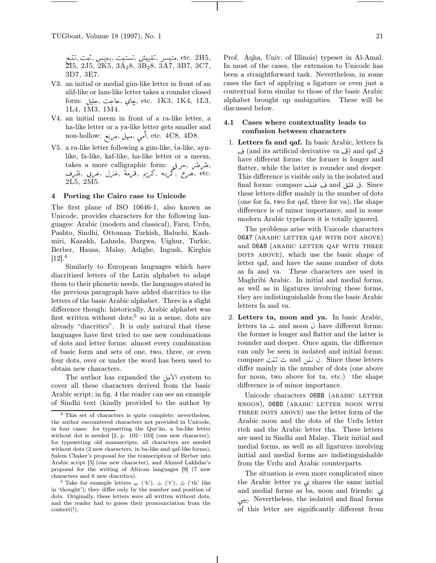, etc. 2H5 , متيسر ,تقييش ,تستيت ,بويس ,ثبت ,تتبع , 2I5, 2J5, 2K5, 3A28, 3B28, 3A7, 3B7, 3C7, 3D7, 3E7.

- V3. an initial or medial gim-like letter in front of an alif-like or lam-like letter takes a rounder closed form: چاي ,حاجت, جليل, etc. 1K3, 1K4, 1L3, 1L4, 1M3, 1M4.
- V4. an initial meem in front of a ra-like letter, a ha-like letter or a ya-like letter gets smaller and non-hollow: آمی , میهل, etc. 4C8, 4D8.
- V5. a ra-like letter following a gim-like, ta-like, aynlike, fa-like, kaf-like, ha-like letter or a meem, takes a more calligraphic form: خرفی, etc. وهيرع ,گربه ,گريم ,قنرمة ,غزل ,عيربي ,ظرف 2L5, 2M5.

# 4 Porting the Cairo case to Unicode

The first plane of ISO 10646-1, also known as Unicode, provides characters for the following languages: Arabic (modern and classical), Farsi, Urdu, Pashto, Sindhi, Ottoman Turkish, Baluchi, Kashmiri, Kazakh, Lahnda, Dargwa, Uighur, Turkic, Berber, Hausa, Malay, Adighe, Ingush, Kirghiz  $[12].<sup>4</sup>$ 

Similarly to European languages which have diacritized letters of the Latin alphabet to adapt them to their phonetic needs, the languages stated in the previous paragraph have added diacritics to the letters of the basic Arabic alphabet. There is a slight difference though: historically, Arabic alphabet was first written without  $\dots$ ;<sup>5</sup> so in a sense, dots are already "diacritics". It is only natural that these languages have first tried to use new combinations of dots and letter forms: almost every combination of basic form and sets of one, two, three, or even four dots, over or under the word has been used to obtain new characters.

The author has expanded the  $\mathcal{Y}^{\mathcal{N}}$  system to cover all these characters derived from the basic Arabic script; in fig. 4 the reader can see an example of Sindhi text (kindly provided to the author by

Prof. Aqha, Univ. of Illinois) typeset in Al-Amal. In most of the cases, the extension to Unicode has been a straightforward task. Nevertheless, in some cases the fact of applying a ligature or even just a contextual form similar to those of the basic Arabic alphabet brought up ambiguities. These will be discussed below.

# 4.1 Cases where contextuality leads to confusion between characters

1. Letters fa and qaf. In basic Arabic, letters fa ق and its artificial derivative va (ث ه have different forms: the former is longer and flatter, while the latter is rounder and deeper. This difference is visible only in the isolated and final forms: compare ف ففف and gis compare. ق ققق these letters differ mainly in the number of dots (one for fa, two for qaf, three for va), the shape difference is of minor importance, and in some modern Arabic typefaces it is totally ignored.

The problems arise with Unicode characters 06A7 (arabic letter qaf with dot above) and 06A8 (arabic letter qaf with three DOTS ABOVE), which use the basic shape of letter qaf, and have the same number of dots as fa and va. These characters are used in Maghribi Arabic. In initial and medial forms, as well as in ligatures involving these forms, they are indistinguishable from the basic Arabic letters fa and va.

2. Letters ta, noon and ya. In basic Arabic, letters ta ت and noon *i* have different forms: the former is longer and flatter and the latter is rounder and deeper. Once again, the difference can only be seen in isolated and initial forms: compare  $\ddot{\omega}$  and  $\ddot{\omega}$ . Since these letters differ mainly in the number of dots (one above for noon, two above for ta, etc.) the shape difference is of minor importance.

Unicode characters O6BB (ARABIC LETTER rnoon), 06BD (arabic letter noon with three dots above) use the letter form of the Arabic noon and the dots of the Urdu letter tteh and the Arabic letter tha. These letters are used in Sindhi and Malay. Their initial and medial forms, as well as all ligatures involving initial and medial forms are indistinguishable from the Urdu and Arabic counterparts.

The situation is even more complicated since the Arabic letter ya  $\zeta$  shares the same initial and medial forms as ba, noon and friends: ± ®î² . Nevertheless, the isolated and final forms of this letter are significantly different from

<sup>4</sup> This set of characters is quite complete; nevertheless, the author encountered characters not provided in Unicode, in four cases: for typesetting the Qur'an, a ba-like letter without dot is needed  $[2, p. 102-103]$  (one new character), for typesetting old manuscripts, all characters are needed without dots (2 new characters, in ba-like and qaf-like forms), Salem Chaker's proposal for the transcription of Berber into Arabic script [5] (one new character), and Ahmed Lakhdar's proposal for the writing of African languages [9] (7 new characters and 6 new diacritics).

 $^5$  Take for example letters  $\leftrightarrow$  ('b'),  $\div$  ('t'),  $\div$  ('th' like in 'thought'); they differ only by the number and position of dots. Originally, these letters were all written without dots, and the reader had to guess their pronounciation from the context(!).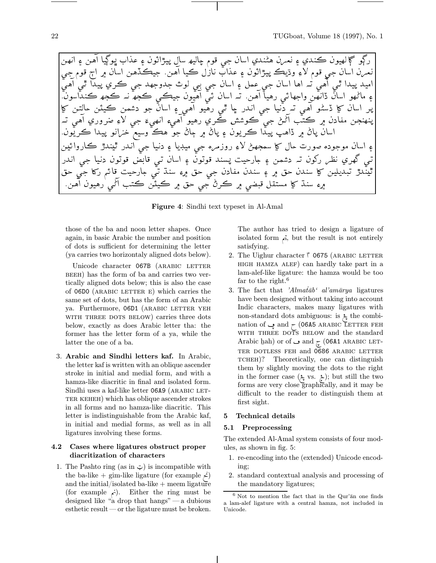ر ڏو گا لھيون ڪندي ۽ نعرن ھڻندي اسان جي قوم حاليھ سال سڙاڻون ۽ عداب بو نيا آھن ۽ انھن نعرن اسان جي قوم لاءِ وڌيڪ سڙاڻون ۽ عداب نازل ڪيا آهن. حيڪڏهن اسان ۾ اڄ قوم جي ¨² ² ·yd r± } ² d©d w ² ² A¤ <sup>L</sup> m ² {¨AA¤ ¨² ² ¢yd·yd ءِ ماڻهو آسان ذانهن واحهاڻي رهيا آهن. تير اسان ئي آهيون حڪي ڪچھ نير ڪچھ ڪنداسون. ب اسان کا ڈسٹو آھي تہ دنيا جي اندر جا ٿي رھيو آھي ۽ اسان جو دشمن ڪيٽن حالتن کا پُنمنجن مفادن ۾ ڪتب آڻڻ جي ڪوشش ڪري رهيو آهيء انھيءَ جي لاءِ ضروري آهي اسان پاڻ ۾ ڏاهپ پيڏا ڪريون ۽ پاڻ ۾ ڄاڻ جو هڪ وسيع خزانو پيدا ڪريون. ء اسان موجودہ صورت حال کا سمجھیڑ لاءِ روز مرہ جن میدیا ۽ دنیا جن اندر تبندڙ ڪارواڻين تبي گھري نظر رکون تہ دشمن ۽ جارحيت پسند قوتون ۽ اسان تبي قابض قوتون دنيا جي اندر تيندڙ تيديلين کا سندن جق ۾ اي سندن مفادن جي جق ۾ءِ سند تي ڄارچيت قائير رکا جي جق هءِ سند کا مستقل قبضي ۾ ڪرڻ جي جق ۾ ڪيٽن ڪتب اٿي رهيون آهن.

Figure 4: Sindhi text typeset in Al-Amal

those of the ba and noon letter shapes. Once again, in basic Arabic the number and position of dots is sufficient for determining the letter (ya carries two horizontaly aligned dots below).

Unicode character 067B (ARABIC LETTER beeh) has the form of ba and carries two vertically aligned dots below; this is also the case of 06D0 (ARABIC LETTER E) which carries the same set of dots, but has the form of an Arabic ya. Furthermore, 06D1 (ARABIC LETTER YEH WITH THREE DOTS BELOW) carries three dots below, exactly as does Arabic letter tha: the former has the letter form of a ya, while the latter the one of a ba.

3. Arabic and Sindhi letters kaf. In Arabic, the letter kaf is written with an oblique ascender stroke in initial and medial form, and with a hamza-like diacritic in final and isolated form. Sindhi uses a kaf-like letter 06A9 (ARABIC LET-TER KEHEH) which has oblique ascender strokes in all forms and no hamza-like diacritic. This letter is indistinguishable from the Arabic kaf, in initial and medial forms, as well as in all ligatures involving these forms.

#### 4.2 Cases where ligatures obstruct proper diacritization of characters

1. The Pashto ring (as in  $\ddot{\varphi}$ ) is incompatible with the ba-like + gim-like ligature (for example  $\angle$ ) and the initial/isolated ba-like  $+$  meem ligature (for example  $\zeta$ ). Either the ring must be designed like "a drop that hangs" — a dubious esthetic result— or the ligature must be broken.

The author has tried to design a ligature of isolated form  $\alpha$ , but the result is not entirely satisfying.

- 2. The Uighur character  $\uparrow$  0675 (ARABIC LETTER high hamza alef) can hardly take part in a lam-alef-like ligature: the hamza would be too far to the right.<sup>6</sup>
- 3. The fact that 'Almat $\bar{a}b^{\prime}$  al'am $\bar{a}rya$  ligatures have been designed without taking into account Indic characters, makes many ligatures with non-standard dots ambiguous: is  $\ddot{\xi}$  the combination of ي and  $\sim$  (06A5 ARABIC LETTER FEH WITH THREE DOTS BELOW and the standard Arabic hah) or of  $\rightarrow$  and  $\frac{1}{\sqrt{2}}$  (06A1 ARABIC LET-TER DOTLESS FEH and 0686 ARABIC LETTER TCHEH)? Theoretically, one can distinguish them by slightly moving the dots to the right in the former case  $(\xi, \text{vs. } \xi)$ ; but still the two forms are very close graphically, and it may be difficult to the reader to distinguish them at first sight.

#### 5 Technical details

#### 5.1 Preprocessing

The extended Al-Amal system consists of four modules, as shown in fig. 5:

- 1. re-encoding into the (extended) Unicode encoding;
- 2. standard contextual analysis and processing of the mandatory ligatures;

 $6$  Not to mention the fact that in the Qur'an one finds a lam-alef ligature with a central hamza, not included in Unicode.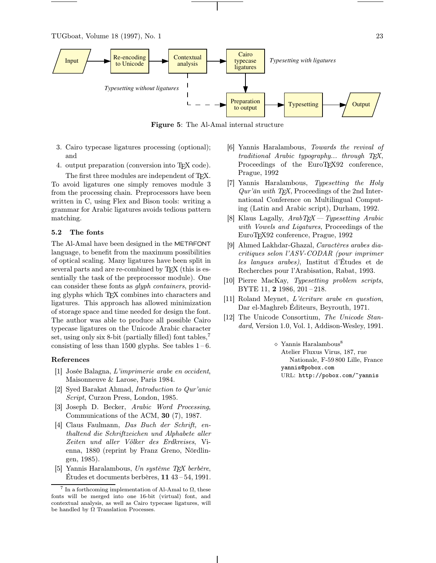TUGboat, Volume 18 (1997), No. 1 23



Figure 5: The Al-Amal internal structure

- 3. Cairo typecase ligatures processing (optional); and
- 4. output preparation (conversion into TEX code).

The first three modules are independent of TEX. To avoid ligatures one simply removes module 3 from the processing chain. Preprocessors have been written in C, using Flex and Bison tools: writing a grammar for Arabic ligatures avoids tedious pattern matching.

#### 5.2 The fonts

The Al-Amal have been designed in the METAFONT language, to benefit from the maximum possibilities of optical scaling. Many ligatures have been split in several parts and are re-combined by T<sub>E</sub>X (this is essentially the task of the preprocessor module). One can consider these fonts as glyph containers, providing glyphs which TEX combines into characters and ligatures. This approach has allowed minimization of storage space and time needed for design the font. The author was able to produce all possible Cairo typecase ligatures on the Unicode Arabic character set, using only six 8-bit (partially filled) font tables,  $\alpha$ consisting of less than 1500 glyphs. See tables  $1-6$ .

#### References

- [1] Josée Balagna, L'imprimerie arabe en occident, Maisonneuve & Larose, Paris 1984.
- [2] Syed Barakat Ahmad, Introduction to Qur'anic Script, Curzon Press, London, 1985.
- [3] Joseph D. Becker, Arabic Word Processing, Communications of the ACM, 30 (7), 1987.
- [4] Claus Faulmann, Das Buch der Schrift, enthaltend die Schriftzeichen und Alphabete aller Zeiten und aller Völker des Erdkreises, Vienna, 1880 (reprint by Franz Greno, Nördlingen, 1985).
- [5] Yannis Haralambous, Un système TEX berbère, Études et documents berbères, 11 43 – 54, 1991.
- [6] Yannis Haralambous, Towards the revival of traditional Arabic typography... through TEX, Proceedings of the EuroTEX92 conference, Prague, 1992
- [7] Yannis Haralambous, Typesetting the Holy  $Qur'\bar{a}n$  with TEX, Proceedings of the 2nd International Conference on Multilingual Computing (Latin and Arabic script), Durham, 1992.
- [8] Klaus Lagally,  $ArabT_{E}X-Ty$  pesetting Arabic with Vowels and Ligatures, Proceedings of the EuroTEX92 conference, Prague, 1992
- [9] Ahmed Lakhdar-Ghazal, Caractères arabes diacritiques selon l'ASV-CODAR (pour imprimer les langues arabes), Institut d'Études et de Recherches pour l'Arabisation, Rabat, 1993.
- [10] Pierre MacKay, Typesetting problem scripts, BYTE 11, 2 1986, 201 – 218.
- [11] Roland Meynet, L'écriture arabe en question, Dar el-Maghreb Éditeurs, Beyrouth, 1971.
- [12] The Unicode Consortium, The Unicode Standard, Version 1.0, Vol. 1, Addison-Wesley, 1991.

◇ Yannis Haralambous<sup>8</sup> Atelier Fluxus Virus, 187, rue Nationale, F-59 800 Lille, France yannis@pobox.com URL: http://pobox.com/~yannis

<sup>&</sup>lt;sup>7</sup> In a forthcoming implementation of Al-Amal to  $\Omega$ , these fonts will be merged into one 16-bit (virtual) font, and contextual analysis, as well as Cairo typecase ligatures, will be handled by  $\Omega$  Translation Processes.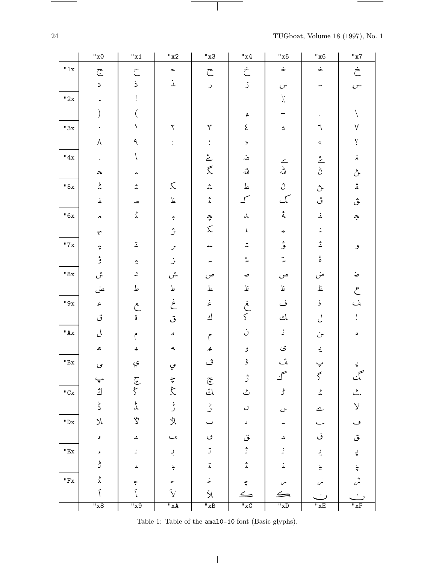TUGboat, Volume 18 (1997), No. 1

 $\frac{1}{\sqrt{2\pi}}\left( \frac{1}{\sqrt{2\pi}}\right) \left( \frac{1}{\sqrt{2\pi}}\right) \left( \frac{1}{\sqrt{2\pi}}\right) \left( \frac{1}{\sqrt{2\pi}}\right) \left( \frac{1}{\sqrt{2\pi}}\right) \left( \frac{1}{\sqrt{2\pi}}\right) \left( \frac{1}{\sqrt{2\pi}}\right) \left( \frac{1}{\sqrt{2\pi}}\right) \left( \frac{1}{\sqrt{2\pi}}\right) \left( \frac{1}{\sqrt{2\pi}}\right) \left( \frac{1}{\sqrt{2\pi}}\right) \left( \frac{1}{\sqrt$ 

|                          | $"x0$                           | "x1                             | "x2                                    | "x3                        | "x4                                                 | "x5                         | "x6                                      | "x7                     |
|--------------------------|---------------------------------|---------------------------------|----------------------------------------|----------------------------|-----------------------------------------------------|-----------------------------|------------------------------------------|-------------------------|
| "1x                      | $\widetilde{\mathbb{C}}$        | $\zeta$                         | $\blacktriangleright$                  | $\subset$                  | خ                                                   | $\dot{\succ}$               | $\dot{\boldsymbol{\mathop{>}}\nolimits}$ | خ                       |
|                          | $\mathbf{z}$                    | ذ                               | $\stackrel{\textstyle{.}}{\downarrow}$ | $\overline{\phantom{a}}$   | ز                                                   | $\mathcal{C}^{\mathbf{v}}$  | للعد                                     | س                       |
| "2x                      |                                 |                                 |                                        |                            |                                                     | $\lambda$                   |                                          |                         |
|                          |                                 |                                 |                                        |                            | $\mathfrak{S}$                                      |                             |                                          |                         |
| "3x                      |                                 |                                 | ٢                                      | ٣                          | $\boldsymbol{\xi}$                                  | ٥                           | ٦                                        | $\sqrt{}$               |
|                          | $\lambda$                       | ٩                               | $\ddot{\cdot}$                         | ţ.                         | $\gg$                                               |                             | $\langle\!\langle$                       | $\dot{\mathcal{L}}$     |
| "4x                      |                                 |                                 |                                        | شن<br>گر                   | ضد                                                  |                             |                                          | Â                       |
|                          | ∼                               |                                 |                                        |                            | لله                                                 | ے<br>ملہ                    | $\frac{2}{5}$                            | لحمح                    |
| "5x                      | $\frac{b}{\sqrt{2}}$            | $\hat{\mathcal{Z}}$             | $\lesssim$                             | بمد                        | ط                                                   | $\hat{\mathcal{O}}$         | $\hat{\mathcal{C}}$                      | $\mathring{\mathbb{A}}$ |
|                          | غە                              | صد                              | 上                                      | $\hat{\lambda}$            | ک                                                   | $\mathcal{L}$               | ڨ                                        | ڨ                       |
| "6x                      | ×                               | $\stackrel{\rightarrow}{\chi}$  | $\widetilde{\cdot}$                    |                            | $\lambda$                                           | $\stackrel{c}{\mathcal{A}}$ | غە                                       | $\tilde{\cdot}$         |
|                          | $\mathcal{C}$                   |                                 | ش<br>س                                 | $\tilde{\ddot{\xi}}$       | T                                                   | ≁                           | 2                                        |                         |
| "7x                      | $\boldsymbol{\hat{\mathsf{v}}}$ | ä                               | $\boldsymbol{\mathcal{J}}$             | -                          | $\ddot{\tilde{z}}$                                  | ۇ                           | شم                                       | و                       |
|                          | ۇ                               | $\tilde{a}$                     | $\mathcal{F}$                          |                            | بر                                                  | $\frac{1}{\sqrt{2}}$        | $\overset{\mathtt{c}}{\mathtt{o}}$       |                         |
| "8x                      | ش                               | ۺ                               | ش                                      | ص                          | مہ                                                  | ص                           | عني                                      | ىنە                     |
|                          | عن                              | ط                               | ط                                      | ط                          | نذ                                                  | ظ                           | $\frac{1}{2}$                            | ع                       |
| $"9x$                    | ء                               | $\tilde{\mathcal{C}}$           | $\dot{\mathcal{E}}$                    | غ                          | $\begin{array}{c} \dot{\zeta} \\ \zeta \end{array}$ | ف                           | ۏ                                        | ین                      |
|                          | ق                               | ق                               | ق                                      | $\mathcal{L}$              |                                                     | $\mathcal{L}$               | ل                                        | J                       |
| $"Ax"$                   | J                               | م                               | A                                      | $\epsilon$                 | ن                                                   | $\mathbb{D}$                | خ                                        | ٥                       |
|                          | ه                               | €                               | $\mathbf{A}_\bullet$                   | $\spadesuit$               | و                                                   | $\mathcal{S}$               | یہ                                       |                         |
| $^{\sf n}{\sf B}{\tt x}$ | $\varsigma$                     | ي                               | ي                                      | ڤ                          | ۋ                                                   | ؿ                           | پ                                        | پ                       |
|                          | $\overline{\cdot}$              |                                 |                                        | $\widetilde{\mathfrak{C}}$ | ڗ                                                   | سحمځ                        | $\tilde{\varsigma}$                      | گ                       |
| $"{\rm Cx}$              | اث                              | انبع کرد.                       | シン                                     | ڵڐ                         | ݣ                                                   | ط<br>گ                      | $\frac{b}{c}$                            |                         |
|                          | $\stackrel{\flat}{\mathstrut}$  | $\stackrel{\flat}{\curlywedge}$ | ط<br>گ                                 | ط<br>س                     | $\mathcal{O}$                                       | $\sigma$                    | $\overline{\phantom{a}}$                 | $\mathsf{V}$            |
| $"Dx$                    | $\lambda$                       | $\mathring{\nabla}$             | $\mathring{\mathcal{N}}$               | پ                          | د                                                   |                             |                                          | ڡ                       |
|                          | و                               | A                               | عب                                     | ٯ                          | ق                                                   | ه                           | ڧ                                        | ق                       |
| $"Ex$                    | د                               | ر                               | ڹ                                      | ڙ                          | ژ                                                   | ز                           | $\tilde{\gamma}$                         | پ                       |
|                          | Ł                               | $\pmb{\lambda}$                 | $\stackrel{\blacktriangle}{\cdot}$     | $\ddot{\lambda}$           | $\stackrel{\mathtt{a}}{\downarrow}$                 | نذ                          | $\frac{\lambda}{\alpha}$                 | $\frac{\lambda}{2}$     |
| $"Fx$                    | と                               | $\hat{\cdot}$                   | م                                      | خ                          | $\hat{\ddot{\cdot}}$                                | $\checkmark$                |                                          | من                      |
|                          |                                 |                                 | ŷ                                      | J)                         | $\leftharpoons$                                     | $\leftrightharpoons$        |                                          |                         |
|                          | "x8                             | "x9                             | "xA                                    | "xB                        | "xC                                                 | $\overline{\text{w}}$       | "xE                                      | "xF                     |

 $\overline{\phantom{a}}$ 

Table 1: Table of the amal0-10 font (Basic glyphs).

 $\overline{\phantom{a}}$ 

24

 $\begin{tabular}{l} \multicolumn{2}{c} {\textbf{1}} & \multicolumn{2}{c} {\textbf{1}} & \multicolumn{2}{c} {\textbf{1}} \\ \multicolumn{2}{c} {\textbf{1}} & \multicolumn{2}{c} {\textbf{1}} & \multicolumn{2}{c} {\textbf{1}} \\ \multicolumn{2}{c} {\textbf{1}} & \multicolumn{2}{c} {\textbf{1}} & \multicolumn{2}{c} {\textbf{1}} \\ \multicolumn{2}{c} {\textbf{1}} & \multicolumn{2}{c} {\textbf{1}} & \multicolumn{2}{c} {\textbf{1}} \\ \multicolumn{2}{c} {\textbf{1}} & \multicolumn$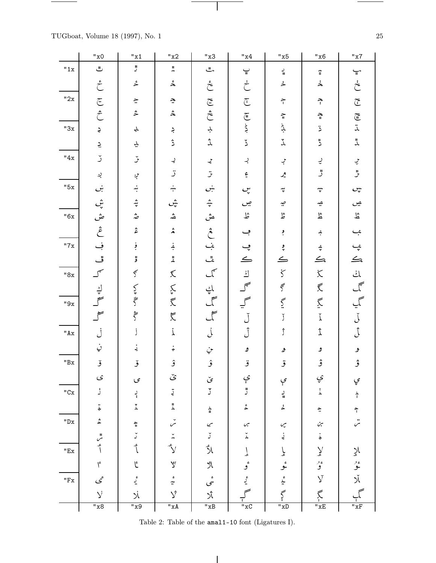TUGboat, Volume 18 (1997), No. 1

 $\frac{1}{\sqrt{2\pi}}\left( \frac{1}{\sqrt{2\pi}}\right) \left( \frac{1}{\sqrt{2\pi}}\right) \left( \frac{1}{\sqrt{2\pi}}\right) \left( \frac{1}{\sqrt{2\pi}}\right) \left( \frac{1}{\sqrt{2\pi}}\right) \left( \frac{1}{\sqrt{2\pi}}\right) \left( \frac{1}{\sqrt{2\pi}}\right) \left( \frac{1}{\sqrt{2\pi}}\right) \left( \frac{1}{\sqrt{2\pi}}\right) \left( \frac{1}{\sqrt{2\pi}}\right) \left( \frac{1}{\sqrt{2\pi}}\right) \left( \frac{1}{\sqrt$ 

|                      | "x0                                           | "x1                   | "x2                                 | "x3                                                  | "x4                              | "x5                                      | "x6                                                           | "x7                                                 |
|----------------------|-----------------------------------------------|-----------------------|-------------------------------------|------------------------------------------------------|----------------------------------|------------------------------------------|---------------------------------------------------------------|-----------------------------------------------------|
| "1x                  | ٿ                                             | $\mathfrak{z}$        | $\overset{\mathfrak{u}}{\thicksim}$ | $\overset{\text{\tiny{H}}}{\smile}$                  | $\frac{1}{n}$                    | $\frac{1}{n}$                            | $\widetilde{\mathfrak{m}}$                                    | $\overbrace{\mathfrak{n}}$                          |
|                      | ځ                                             | ڠ                     | $\stackrel{\circ}{\varkappa}$       | $\stackrel{\scriptscriptstyle \varepsilon}{\subset}$ | $\dot{\tilde{\mathcal{C}}}$      | لخه                                      | لخ                                                            | $\dot{\tilde{\mathcal{C}}}$                         |
| "2x                  | $\overline{\mathbb{C}}$                       | $\tilde{\mathbf{r}}$  | ÷                                   | $\widetilde{\mathbb{G}}$                             | $\widetilde{\mathbb{C}}$         | $\widetilde{\cdot}$                      | $\tilde{\cdot}$                                               | $\widetilde{\mathbb{G}}$                            |
|                      | $\hat{\mathcal{C}}$                           | $\hat{\mathcal{Z}}$   | $\triangle$                         | $\hat{\tilde{\mathcal{C}}}$                          |                                  | $\widetilde{\mathfrak{m}}$               | $\widetilde{\mathfrak{m}}$                                    |                                                     |
| "3x                  | $\mathbf{\hat{c}}$                            | لمج                   | ڊ                                   | $\div$                                               | $\widetilde{F}$                  | بل <sup>ط</sup>                          | $\ddot{\circ}$                                                | $\widetilde{\overline{H}}$<br>$\ddot{\overline{L}}$ |
|                      | ݘ                                             | ݒ                     | ڎ                                   | ثر<br>نذ                                             | $\ddot{\circ}$                   | $\ddot{\lambda}$                         | ڐ                                                             | للہ                                                 |
| "4x                  | ڒ                                             | $\check{\mathcal{F}}$ | ړ                                   |                                                      | ڊ                                | ېر                                       |                                                               |                                                     |
|                      | ڔ                                             | بن                    | ڗ                                   | به ب                                                 | م<br>ا                           | $\mathcal{L}_{\shortparallel}^{\bullet}$ | $\frac{1}{2}$                                                 | $\frac{1}{2}$                                       |
| "5x                  | ښ                                             | ښه                    | ښه                                  | ښ                                                    | ڛ                                | ڛ                                        | $\ddot{\ddot{x}}$                                             | ڛ                                                   |
|                      | ڜ                                             | شہ<br>پہ              | ڛٛ                                  | $\frac{4}{3}$                                        | ڝ                                | $\hat{\mathcal{L}}$                      | ڝ                                                             | ڝ                                                   |
| "6x                  | ڞ<br>ڠ                                        | خە                    | شہ                                  |                                                      | ڴ                                | ڟ                                        | 监                                                             | $\tilde{\mathbb{F}}$                                |
|                      |                                               | ڠ                     | 文                                   | ش<br>څ                                               | ڢ                                | $\ddot{\cdot}$                           | ج.                                                            | ب                                                   |
| "7x                  | ڣ                                             | ؋ؚ                    | ۼ                                   | ۔<br>نیا<br>ک                                        | ڥ                                | و<br>پ                                   | $\frac{a}{r}$                                                 |                                                     |
|                      | ڦ                                             | ۊ                     | $\frac{1}{4}$                       |                                                      | $\leftarrow$                     | $\leq$                                   | $\Rightarrow$                                                 |                                                     |
| "8x                  | $\int^{\sigma}$                               | $\varsigma$           | $\lesssim$                          |                                                      | $\mathbf{i}$                     | $\zeta$                                  | $\overleftarrow{\mathbf{C}}$                                  | ي کا<br>آخا<br>رآ                                   |
|                      | $\frac{1}{\sqrt{2}}$                          | ک<br>پخ               | ミミ                                  | اپ<br>گ                                              | $\int_0^\infty$                  | J                                        | $\widetilde{\mathbb{X}}$                                      |                                                     |
| "9x                  |                                               |                       |                                     |                                                      | $\int\limits_{-\infty}^{\infty}$ | $\tilde{\Sigma}$                         | $\widetilde{\widetilde{\chi}}$                                |                                                     |
|                      | $\tilde{a}$                                   | ؇                     | $\breve{\mathcal{K}}$               | سخ                                                   | $\check{\mathsf{J}}$             | Ĭ                                        | $\check{\lambda}$                                             | آ پر<br>آ س آل<br>را                                |
| "Ax"                 |                                               | j                     | İ                                   | j                                                    | $\hat{\mathcal{J}}$              | ĵ                                        | $\mathring{\mathring{\mathcal{I}}}$                           |                                                     |
|                      | ڹ                                             | ⊰                     | ¢                                   | ىنې                                                  | ه                                | ۿ                                        | ۅ                                                             | ۅ                                                   |
| $^{\sf{H}}\text{Bx}$ | ۆ                                             | ۆ                     | ۉ                                   | $\hat{\mathbf{z}}$                                   | ۊ                                | قر                                       | ۋ                                                             | ڨ                                                   |
|                      | ى                                             | ى                     | ى                                   | ۍ                                                    | ې                                | ې                                        | ۑ                                                             | ۑ                                                   |
| "Cx                  | ڑ                                             | ر<br>:                | $\ddot{J}$                          | ڒ                                                    | ڙ                                | $\frac{1}{n}$                            | $\stackrel{\scriptscriptstyle 3}{\scriptscriptstyle \lambda}$ | $\underset{\scriptscriptstyle{i}}{\star}$           |
|                      | $\ddot{\dot{}}$                               | $\tilde{\lambda}$     | $\ddot{\tilde{\lambda}}$            | $\frac{\lambda}{n}$                                  | ځ                                | ڂ                                        | $\hat{\cdot}$                                                 | $\hat{\cdot}$                                       |
| $^{\sf II}{\rm Dx}$  | $\stackrel{*}{\bullet}$                       | $\frac{6}{11}$        | $\check{c}$                         | $\varsigma$                                          | $\checkmark$                     | $\mathbf{\check{C}}$                     | $\dot{\mathcal{C}}$                                           | $\ddot{\sim}$                                       |
|                      | $\overset{\text{\tiny{H}}}{\curvearrowright}$ | ۲                     | $\tilde{\lambda}$                   | $\check{\jmath}$                                     | $\check{\star}$                  | ڹ                                        | $\stackrel{\textstyle{.}}{\textstyle \bullet}$                |                                                     |
| "Ex                  | ع.<br>أ                                       | $\int_{0}^{\infty}$   | $\tilde{\mathcal{Y}}$               | گر<br>لا                                             | ٳ                                | یا                                       | $\sum_{i=1}^{n}$                                              | $\tilde{\lambda}$                                   |
|                      | $\int_{0}^{\infty}$                           | ع                     | y                                   | Å                                                    | ء<br>و                           | ئمو                                      | ءِ<br>و                                                       | ءو<br>بلا                                           |
| $^{\sf H}{\rm Fx}$   | عمى                                           | ءِ<br>بد              | $\frac{e}{4}$                       | ء<br>س                                               | م<br>بد                          | ءُ                                       | Ý                                                             |                                                     |
|                      | ý                                             | Й                     | Ý                                   | Ñ                                                    |                                  | $\widetilde{\zeta}$                      | Ķ                                                             |                                                     |
|                      | "x8                                           | "x9                   | $^{\prime\prime}$ xA                | "xB                                                  | "xC                              | $^{\prime\prime}$ xD                     | $^{\prime\prime}$ xE                                          | "xF                                                 |

 $\overline{\phantom{a}}$ 

 $\sim 10^{-10}$ 

Table 2: Table of the  $\texttt{amall1-10}$  font (Ligatures I).

 $\overline{\phantom{a}}$ 

 $\bf 25$ 

 $\sim$ 

 $\qquad \qquad$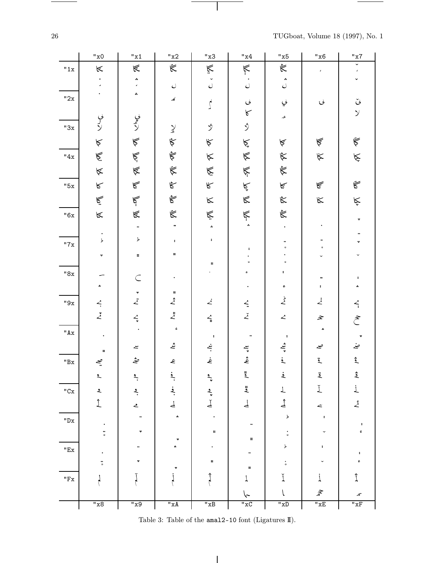TUGboat, Volume 18 (1997), No. 1

 $\frac{1}{\sqrt{2\pi}}\left( \frac{1}{\sqrt{2\pi}}\right) \left( \frac{1}{\sqrt{2\pi}}\right) \left( \frac{1}{\sqrt{2\pi}}\right) \left( \frac{1}{\sqrt{2\pi}}\right) \left( \frac{1}{\sqrt{2\pi}}\right) \left( \frac{1}{\sqrt{2\pi}}\right) \left( \frac{1}{\sqrt{2\pi}}\right) \left( \frac{1}{\sqrt{2\pi}}\right) \left( \frac{1}{\sqrt{2\pi}}\right) \left( \frac{1}{\sqrt{2\pi}}\right) \left( \frac{1}{\sqrt{2\pi}}\right) \left( \frac{1}{\sqrt$ 

|                     | "x0                            | "x1                                   | "x2                                                                                                     | "x3                                                 | "x4                                                | "x5                        | "x6                            | "x7                                   |
|---------------------|--------------------------------|---------------------------------------|---------------------------------------------------------------------------------------------------------|-----------------------------------------------------|----------------------------------------------------|----------------------------|--------------------------------|---------------------------------------|
| "1x                 | $\,\,\ll$                      | $\mathbb{R}$                          | $\breve{\mathbb{R}}$                                                                                    | $\check{\mathbb{E}}$                                | Ķ                                                  | $\tilde{\mathbb{R}}$       | J                              | Y<br>J.                               |
|                     |                                | ٨<br>$\mathbf{r}$                     | $\mathcal{O}$                                                                                           | $\mathcal{O}$                                       | $\bullet$<br>$\bar{\mathcal{O}}$                   | $\mathring{\cup}$          |                                |                                       |
| "2x                 |                                | A.                                    | کہ                                                                                                      | $\int$                                              | $\mathcal{C}$                                      | لي                         | $\mathcal{O}$                  | ݩ                                     |
|                     |                                |                                       |                                                                                                         |                                                     | $\sqrt{ }$                                         | عد                         |                                | $\mathcal{Y}$                         |
| "3x                 | ىي<br>كۆ                       | ىي<br>ك                               | $\chi$                                                                                                  | ŷ                                                   | ر<br>ر                                             |                            |                                |                                       |
|                     | $\lessdot$                     | $\lessdot$                            | $\hat{\nabla}$                                                                                          | $\kappa$                                            | Ķ                                                  | $\acute{\mathbb{A}}$       | $\mathbb{R}$                   | $\ddot{\widetilde{\nabla}}$           |
| "4x                 | $\tilde{\mathbb{E}}$           |                                       | $\hat{\vec{\nabla}}$                                                                                    | $\ltimes$                                           | $\overline{\mathbb{R}}$                            | $\tilde{\kappa}$           | $\kappa$                       | $\check{\mathbb{X}}$                  |
|                     | $\approx$                      | 医产区                                   | $\breve{\triangledown}$                                                                                 | $\tilde{\mathbb{X}}$                                | Ķ                                                  | $\tilde{\mathbb{R}}$       |                                |                                       |
| "5x                 | $\kappa$                       | $\mathbb{R}$                          | $\hat{\delta}$                                                                                          | $\kappa$                                            | نې<br>کا                                           | $\mathbb{R}$               | $\mathbb{R}$                   | $\tilde{\mathbb{R}}$                  |
|                     | $\tilde{\mathbb{E}}$           | گا<br>گا                              | $\hat{\mathcal{E}}$                                                                                     | $\kappa$                                            | $\mathbb{R}$                                       | $\approx$                  | $\kappa$                       | Ķ                                     |
| "6x                 | $\mathbb K$                    | $\mathbb{R}$                          | Ë                                                                                                       | Ķ                                                   | $\sum_{i=1}^{n}$                                   | $\tilde{\mathbb{R}}$       |                                | ٠                                     |
|                     | $\bullet$                      | $\bullet\bullet$                      | $\ddot{\phantom{0}}$                                                                                    | $\hat{\mathbf{a}}$                                  |                                                    |                            |                                |                                       |
| "7x                 | $\,$                           | $\blacktriangleright$                 | $\ddot{\bullet}$                                                                                        | $\ddot{\bullet}$                                    | $\ddot{\phantom{a}}$                               | $\circ$                    | $\circ$                        |                                       |
|                     | v.                             | $\sharp$                              | #                                                                                                       | ×                                                   | $\circ$                                            | $\mathbf{o}$               |                                |                                       |
| $"8x$               |                                | $\subset$                             |                                                                                                         |                                                     | ء                                                  | ¢.                         |                                | ٠                                     |
|                     | ۸                              | $\color{red} \star$                   | ×                                                                                                       |                                                     |                                                    | ءِ                         | $\ddagger$                     |                                       |
| $"9x$               | $\overline{\mathcal{L}}$       | $\ddot{z}$                            | $\hat{\mathcal{Z}}$                                                                                     | $\dot{\angle}$                                      | $\stackrel{\scriptstyle\prime}{\scriptstyle\cdot}$ | $\stackrel{\flat}{\angle}$ | $\vec{\mathcal{L}}$            | $\overline{\mathcal{L}}_i$            |
|                     | $\ddot{z}$                     | $\overline{\cdot}$                    | $\mathring{\mathcal{L}}$                                                                                | $\stackrel{\mathcal{L}}{=}$                         | $\check{\mathcal{Z}}$                              | $\angle$                   | $\boldsymbol{\hat{\varkappa}}$ | $\tilde{\mathcal{E}}$                 |
| "Ax"                |                                |                                       | $\mathfrak{e}% _{T}=\mathfrak{e}_{T}\!\left( a,b\right) ,\ \mathfrak{e}_{T}=C_{T}\!\left( a,b\right) ,$ | $\,$ $\,$                                           | ₩                                                  | $\ddot{\phantom{a}}$       | ٠                              |                                       |
|                     | $\sharp$                       | $\tilde{\phantom{a}}$                 | $\mathbf{z}$                                                                                            | ښم                                                  |                                                    | شهر<br>په                  | صے                             | ىخ                                    |
| $^{\sf H}{\rm Bx}$  | $\tilde{\xi}$                  | ىثە                                   | ع                                                                                                       | غ                                                   | $k$ , $k$                                          | $\mathbf{i}$               | $\ddot{\mathbf{z}}$            | $\mathring{\mathbb{L}}$               |
|                     | $\overline{\mathbf{r}}$        | $\frac{2}{x}$                         | ڋ                                                                                                       | $\frac{2}{x}$                                       | $\mathbf{L}$                                       | $\overline{\mathbf{z}}$    | قم                             | ڎؚ                                    |
| $^{\sf{H}}{\rm Cx}$ | $\hat{\mathbf{z}}$             | ڋ                                     | فج                                                                                                      |                                                     | $\frac{u}{2}$                                      | Τ                          | Ľ                              | į                                     |
|                     | $\hat{\underline{\textbf{1}}}$ | ے                                     | لح                                                                                                      | $\overline{\mathcal{L}}$ , $\overline{\mathcal{L}}$ | ڶٙ                                                 | ثہ<br>ہ                    | z                              | $\mathring{\mathcal{L}}$              |
| $"$ Dx $\:$         |                                |                                       | ۸                                                                                                       |                                                     |                                                    | þ                          | $\ddot{\phantom{a}}$           | $\ddot{\phantom{a}}$                  |
|                     | $\ddot{\bullet}$               | ٠                                     |                                                                                                         | $\sharp$                                            | ×                                                  | ٠<br>$\circ$               |                                | ءِ                                    |
| $^{\sf n}{\sf Ex}$  |                                |                                       |                                                                                                         |                                                     |                                                    | þ                          |                                | $\ddot{\phantom{a}}$                  |
|                     | $\ddot{\circ}$                 | ٠                                     |                                                                                                         | $\sharp$                                            | $\sharp\sharp$                                     |                            |                                | ¢                                     |
| $^{\sf H}{\rm Fx}$  |                                |                                       |                                                                                                         |                                                     |                                                    | ľ                          |                                | Î                                     |
|                     |                                |                                       |                                                                                                         |                                                     |                                                    |                            | $\widehat{\mathscr{F}}$        | Æ                                     |
|                     | "x8                            | $\overline{\mathbf{u}_{\mathbf{x}9}}$ | "xA                                                                                                     | "xB                                                 | "xC                                                | "xD                        | "xE                            | $\overline{\mathbf{u}}$ <sub>xF</sub> |

 $\sim$  100  $\mu$ 

 $\overline{\phantom{a}}$ 

Table 3: Table of the  $\texttt{ama12-10}$  font (Ligatures II).

 $\overline{\phantom{a}}$ 

 $\sqrt{26}$ 

 $\begin{tabular}{l} \multicolumn{2}{c} {\textbf{1}} & \multicolumn{2}{c} {\textbf{1}} & \multicolumn{2}{c} {\textbf{1}} \\ \multicolumn{2}{c} {\textbf{1}} & \multicolumn{2}{c} {\textbf{1}} & \multicolumn{2}{c} {\textbf{1}} \\ \multicolumn{2}{c} {\textbf{1}} & \multicolumn{2}{c} {\textbf{1}} & \multicolumn{2}{c} {\textbf{1}} \\ \multicolumn{2}{c} {\textbf{1}} & \multicolumn{2}{c} {\textbf{1}} & \multicolumn{2}{c} {\textbf{1}} \\ \multicolumn{2}{c} {\textbf{1}} & \multicolumn$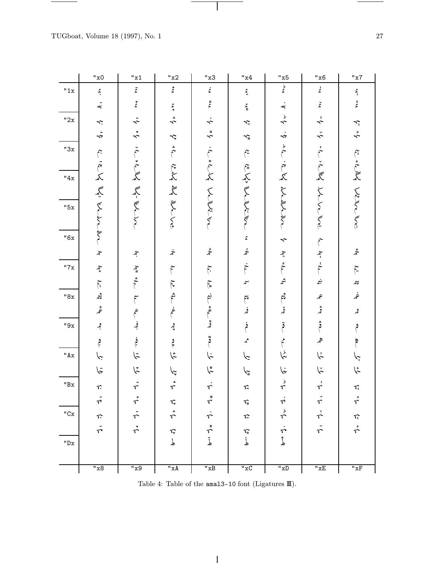$\begin{tabular}{l} \multicolumn{2}{c} {\textbf{1}} & \multicolumn{2}{c} {\textbf{1}} & \multicolumn{2}{c} {\textbf{1}} \\ \multicolumn{2}{c} {\textbf{1}} & \multicolumn{2}{c} {\textbf{1}} & \multicolumn{2}{c} {\textbf{1}} \\ \multicolumn{2}{c} {\textbf{1}} & \multicolumn{2}{c} {\textbf{1}} & \multicolumn{2}{c} {\textbf{1}} \\ \multicolumn{2}{c} {\textbf{1}} & \multicolumn{2}{c} {\textbf{1}} & \multicolumn{2}{c} {\textbf{1}} \\ \multicolumn{2}{c} {\textbf{1}} & \multicolumn$ 

|                    | "x0                                | "x1                                                     | "x2                              | "x3                          | "x4                                                 | "x5                                  | "x6                             | "x7                        |
|--------------------|------------------------------------|---------------------------------------------------------|----------------------------------|------------------------------|-----------------------------------------------------|--------------------------------------|---------------------------------|----------------------------|
| "1x                | $\hat{\boldsymbol{\xi}}$           | $\ddot{\tilde{z}}$                                      | $\hat{\mathbf{c}}$               | $\dot{\mathfrak{c}}$         | $\vec{z}$                                           | $\zeta$                              | ۼ                               |                            |
|                    | .<br>په                            | $\check{\mathfrak{c}}$                                  | $\frac{\mathcal{L}}{\mathbf{v}}$ | $\mathop{z}\limits^{\sharp}$ | $\frac{c}{4}$                                       | .<br>په                              | $\check{\mathfrak{c}}$          | $\mathbf{u}^*$ and         |
| "2x                | $\tilde{\mathcal{L}}$              | $\ddot{\hat{z}}$                                        | $\stackrel{*}{\sim}$             | $\dot{\sim}$                 | $\widetilde{\phantom{a}}$                           | $\stackrel{\rightarrow}{\leftarrow}$ | $\div$                          |                            |
|                    | $\ddot{\cdot}$                     | $\stackrel{*}{\sim}$                                    |                                  | $\lambda^*$                  | $\widetilde{\phantom{a}}$                           | $\dot{\cdot}$                        | $\check{\cdot}$                 | $\frac{1}{2}$              |
| "3x                |                                    |                                                         | ې ډې                             |                              |                                                     |                                      |                                 |                            |
|                    |                                    |                                                         |                                  |                              | $\tilde{\mathfrak{f}}$                              |                                      |                                 |                            |
| "4x                | r. ie y y y bl.                    | is it is the work                                       | ちえ えきくら                          | .<br>مراجع<br>مراجع          | بلاءلها                                             | ale is by itember                    | in the blume                    | بلايا والخلا               |
|                    |                                    |                                                         |                                  |                              |                                                     |                                      |                                 |                            |
| "5x                |                                    |                                                         |                                  |                              |                                                     |                                      |                                 |                            |
|                    |                                    |                                                         |                                  | ww.in                        | <b>Kingi</b>                                        |                                      |                                 | Wellen                     |
| "6x                | $\widetilde{\zeta}$                |                                                         |                                  |                              |                                                     |                                      |                                 |                            |
|                    |                                    |                                                         |                                  | $\mathring{\mathcal{Z}}$     | $\boldsymbol{\zeta}$<br>$\dot{\mathbf{z}}$          | $\hat{\mathbf{r}}$                   | $\leftarrow$ kg ", $\leftarrow$ |                            |
|                    | $\tilde{\mathcal{S}}$              | $\widetilde{\mathcal{L}}$                               | $\dot{\varkappa}$                |                              |                                                     | لعو: مار                             |                                 | $\hat{\mathcal{Z}}$        |
| "7x                | $\widetilde{\mathcal{L}}$          | h# th                                                   | $\tilde{\mathbf{f}}$             | $\widetilde{\mathfrak{f}}$   | $\dot{\tilde{r}}$                                   |                                      |                                 | $\widetilde{\mathfrak{f}}$ |
|                    | $\mathcal{L}$ $\mathcal{L}$        |                                                         | لمدقع منحمل                      | $\widetilde{G}$              | $\mathbf{r}^{\omega}$                               | شم                                   | ښمه                             | $\mathfrak{g}$             |
| "8x                |                                    | $\tilde{\mathbf{f}}$                                    |                                  | ښې<br>أ                      | $\tilde{\mathfrak{f}}^*$                            | ؿم                                   | عمر                             | غمر                        |
|                    | ڠ                                  | $\epsilon$                                              | غم                               | وطلم #هع                     | فحد                                                 | قمہ                                  | ۋ                               | و گ                        |
| "9x                | فجر                                | فجر                                                     | ۄۣ                               |                              | فع<br>أ                                             | ة                                    | و<br>م                          | م                          |
|                    | و<br>م                             | $\begin{array}{c} \mathbf{.} \\ \mathbf{.} \end{array}$ | $\mathfrak{e}$                   | ڐ                            | مم                                                  |                                      | هر                              |                            |
| "Ax"               | $\check{\cdot}$                    | $\ddot{\varsigma}$                                      | ڋ                                | نها                          | چا                                                  | ط<br>م                               | $\zeta$                         | $\zeta$                    |
|                    | تيها                               | ؆                                                       | $\hat{\mathcal{L}}$              | الم                          | ڪم                                                  | ىنې                                  | $\breve{\widetilde{r}}$         | ػ۪                         |
| $^{\sf H}{\rm Bx}$ | て                                  | ÷.                                                      |                                  | ŕ                            | Т.                                                  | $\stackrel{\flat}{\tau}$             | $\vec{\tau}$                    | $\tau_i$                   |
|                    | $\bullet\bullet$<br>$\sqrt{\circ}$ | $\tilde{\tau}$                                          | T.                               | $\mathfrak n$<br>$\tau$      | $\tau_{\scriptscriptstyle \!\!\rm I\hspace{-1pt}I}$ | r                                    | $\Upsilon$                      | $\mathring{\mathcal{T}}$   |
| $"Cx$              | $\hat{\tau}$                       | $\ddot{\tau}$                                           | ۸<br>$\hat{\tau}$                | $\dot{\tau}$                 | $\curvearrowleft$                                   | ょう                                   | $\vec{\tau}$                    | $\tau$                     |
|                    | $\ddot{\tau}$                      | $\dot{\tau}$                                            | $\widehat{\mathcal{C}}$          | $\stackrel{ii}{\sim}$        | $\sqrt[n]{u}$                                       |                                      | $\check{\tau}$                  | $\mathring{\tau}$          |
| $"$ Dx $\:$        |                                    |                                                         | لم                               | $\check{\mathbf{r}}$         | ڶٚ                                                  | نې<br>ئ                              |                                 |                            |
|                    |                                    |                                                         |                                  |                              |                                                     |                                      |                                 |                            |
|                    | $\overline{\phantom{1}''x8}$       | "x9                                                     | $^{\sf II}$ x A                  | "xB                          | $"xC$                                               | $\overline{\text{w}}$                | $^{\sf{H}}\mathbf{x}\mathbf{E}$ | $\overline{\mathbf{w}}$ xF |

 $\overline{\mathbf{1}}$ 

Table 4: Table of the  $\tt{amal3-10}$  font (Ligatures  $\rm I\!I\!I).$ 

 $\overline{\phantom{a}}$ 

 $\overline{\phantom{a}}$ 

 $\overline{\phantom{a}}$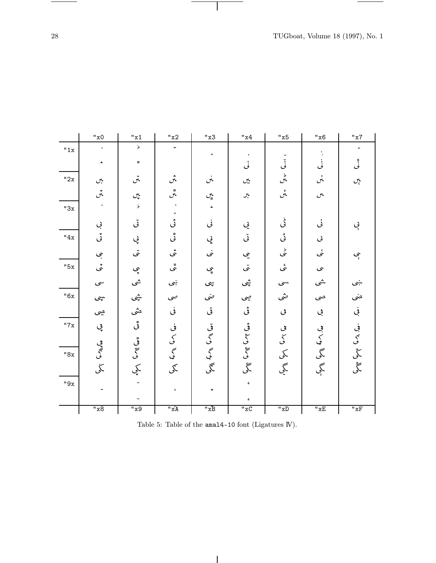$\frac{1}{\sqrt{2\pi}}\left( \frac{1}{\sqrt{2\pi}}\right) ^{2}+\frac{1}{\sqrt{2\pi}}\left( \frac{1}{\sqrt{2\pi}}\right) ^{2}+\frac{1}{\sqrt{2\pi}}\left( \frac{1}{\sqrt{2\pi}}\right) ^{2}+\frac{1}{\sqrt{2\pi}}\left( \frac{1}{\sqrt{2\pi}}\right) ^{2}+\frac{1}{\sqrt{2\pi}}\left( \frac{1}{\sqrt{2\pi}}\right) ^{2}+\frac{1}{\sqrt{2\pi}}\left( \frac{1}{\sqrt{2\pi}}\right) ^{2}+\frac{1}{\sqrt{2\pi}}\left( \$ 

|       | "x0                         | "x1                        | "x2"                  | "x3       | "x4"             | "x5                      | "x6                         | "x7                                     |
|-------|-----------------------------|----------------------------|-----------------------|-----------|------------------|--------------------------|-----------------------------|-----------------------------------------|
| "1x   | $\bullet$                   | $\blacktriangleright$      | ÷.                    | $\bullet$ |                  |                          |                             | $\bullet\bullet$                        |
|       | ٠                           | $\mathfrak m$              |                       |           | لى               | ڵ                        | ىي                          | ثى                                      |
| "2x   | $\mathcal{C}^{\mathcal{L}}$ | تن                         | ڽ                     | نن        | ين               | ىل<br>مىل                | نهن                         | $\mathcal{C}_{\mathbf{r}}^{\mathbf{t}}$ |
|       | ېنې<br>س                    | $\mathcal{C}_{\mathbf{v}}$ | #<br>س                | ېي        | جر               | ءِ<br>س                  | $\mathcal{C}^{\mathcal{C}}$ |                                         |
| "3x   |                             | $\,$                       | $\bullet$             | ă.        |                  |                          |                             |                                         |
|       | بې                          | تى                         | ئى                    | نى        | يي               | ط<br>گ                   | ݩݵ                          | ېب                                      |
| "4x   | ݩ                           | ۑ                          | ٿي                    | ڸۣ        | <u>تى</u>        | ئی                       | $\mathcal{O}$               |                                         |
|       | ېبى                         | تنى                        | ئى                    | نى        | يى               | ط<br>می                  | نى                          | ېب                                      |
| "5x   | تى                          | ۑ                          | #ي                    | ېپ        | ىنى              | ىئى                      | ى                           |                                         |
|       | $\mathcal{S}^*$             | شى                         | ښې                    | ڛؠ        | ڜى               | سى                       | ىشى                         | ىنېي                                    |
| "6x   | ىبپى                        | ىثپى                       | صى                    | ضى        | چى               | ىنتى                     | صى                          | ضى                                      |
|       | چى                          | مثى                        | ڧ                     | تى        | ڨ                | ى                        | ڣ                           | في                                      |
| "7x   | ڥ                           | ڦي                         | نې                    | قى<br>گى  |                  | $\mathfrak{S}$           |                             | في<br>كې                                |
|       | چې<br>پېچ                   | #ميما گارگ<br>گ            | $\mathcal{S}_{0}$     |           | ۋى كېمىقى كېلىقى | $\overline{\mathcal{S}}$ | مې<br>کمپ                   |                                         |
| "8x   |                             |                            | $\tilde{\mathcal{S}}$ | گې<br>لې  |                  | کمی                      | گی                          | گی<br>                                  |
|       | ݣﻰ                          | کمپ                        | گی                    | گمی       | گُی              | گجي<br>حکي               | گې<br>با                    | ڴؠ                                      |
| $"9x$ |                             |                            | $\ddot{\phantom{a}}$  |           | $\mathfrak{c}$   |                          |                             |                                         |
|       |                             |                            |                       |           | ء                |                          |                             |                                         |
|       | "x8"                        | "x9                        | $\ddot{A}x''$         | "xB       | "xC              | $\overline{\text{w}}$    | "xE                         | $\overline{\text{K}F}$                  |

 $\sim$  100  $\mu$ 

 $\overline{\phantom{a}}$ 

|  |  | Table 5: Table of the $amal4-10$ font (Ligatures IV). |  |
|--|--|-------------------------------------------------------|--|
|  |  |                                                       |  |

 $\overline{\phantom{a}}$ 

 $\begin{tabular}{l} \multicolumn{2}{c} {\textbf{1}} & \multicolumn{2}{c} {\textbf{1}} & \multicolumn{2}{c} {\textbf{1}} \\ \multicolumn{2}{c} {\textbf{1}} & \multicolumn{2}{c} {\textbf{1}} & \multicolumn{2}{c} {\textbf{1}} \\ \multicolumn{2}{c} {\textbf{1}} & \multicolumn{2}{c} {\textbf{1}} & \multicolumn{2}{c} {\textbf{1}} \\ \multicolumn{2}{c} {\textbf{1}} & \multicolumn{2}{c} {\textbf{1}} & \multicolumn{2}{c} {\textbf{1}} \\ \multicolumn{2}{c} {\textbf{1}} & \multicolumn$